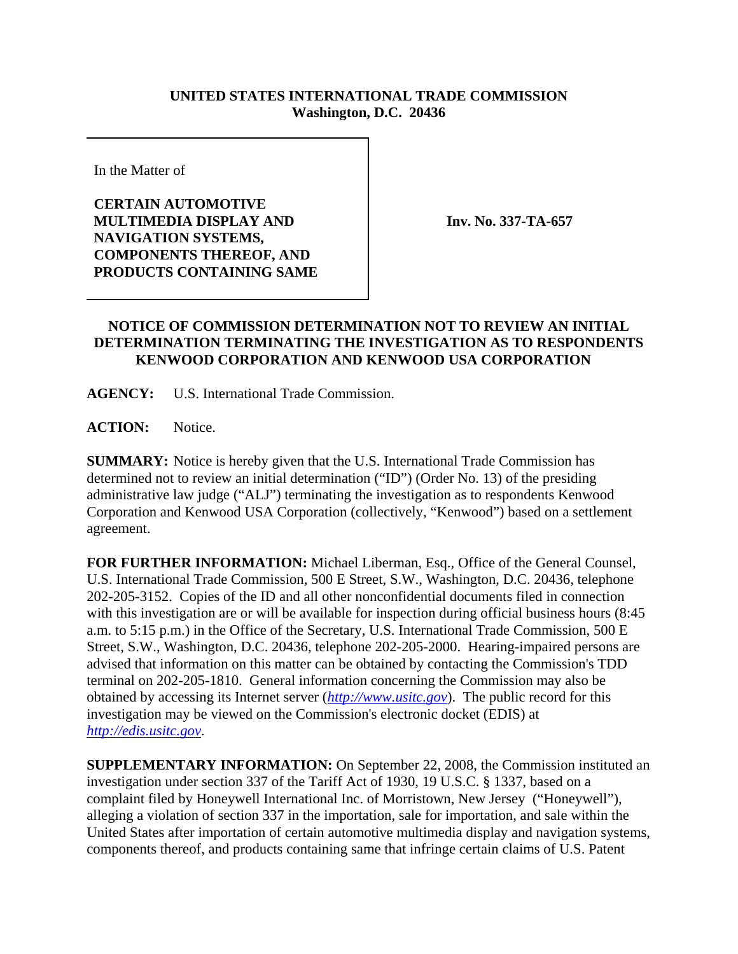## **UNITED STATES INTERNATIONAL TRADE COMMISSION Washington, D.C. 20436**

In the Matter of

**CERTAIN AUTOMOTIVE MULTIMEDIA DISPLAY AND NAVIGATION SYSTEMS, COMPONENTS THEREOF, AND PRODUCTS CONTAINING SAME**

**Inv. No. 337-TA-657**

## **NOTICE OF COMMISSION DETERMINATION NOT TO REVIEW AN INITIAL DETERMINATION TERMINATING THE INVESTIGATION AS TO RESPONDENTS KENWOOD CORPORATION AND KENWOOD USA CORPORATION**

**AGENCY:** U.S. International Trade Commission.

**ACTION:** Notice.

**SUMMARY:** Notice is hereby given that the U.S. International Trade Commission has determined not to review an initial determination ("ID") (Order No. 13) of the presiding administrative law judge ("ALJ") terminating the investigation as to respondents Kenwood Corporation and Kenwood USA Corporation (collectively, "Kenwood") based on a settlement agreement.

**FOR FURTHER INFORMATION:** Michael Liberman, Esq., Office of the General Counsel, U.S. International Trade Commission, 500 E Street, S.W., Washington, D.C. 20436, telephone 202-205-3152. Copies of the ID and all other nonconfidential documents filed in connection with this investigation are or will be available for inspection during official business hours (8:45) a.m. to 5:15 p.m.) in the Office of the Secretary, U.S. International Trade Commission, 500 E Street, S.W., Washington, D.C. 20436, telephone 202-205-2000. Hearing-impaired persons are advised that information on this matter can be obtained by contacting the Commission's TDD terminal on 202-205-1810. General information concerning the Commission may also be obtained by accessing its Internet server (*http://www.usitc.gov*). The public record for this investigation may be viewed on the Commission's electronic docket (EDIS) at *http://edis.usitc.gov*.

**SUPPLEMENTARY INFORMATION:** On September 22, 2008, the Commission instituted an investigation under section 337 of the Tariff Act of 1930, 19 U.S.C. § 1337, based on a complaint filed by Honeywell International Inc. of Morristown, New Jersey ("Honeywell"), alleging a violation of section 337 in the importation, sale for importation, and sale within the United States after importation of certain automotive multimedia display and navigation systems, components thereof, and products containing same that infringe certain claims of U.S. Patent